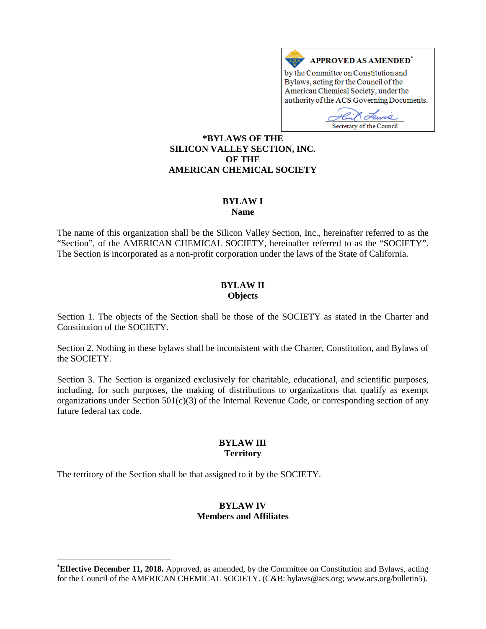

Secretary of the Council

**[\\*BY](#page-0-0)LAWS OF THE SILICON VALLEY SECTION, INC. OF THE AMERICAN CHEMICAL SOCIETY**

# **BYLAW I**

**Name**

The name of this organization shall be the Silicon Valley Section, Inc., hereinafter referred to as the "Section", of the AMERICAN CHEMICAL SOCIETY, hereinafter referred to as the "SOCIETY". The Section is incorporated as a non-profit corporation under the laws of the State of California.

#### **BYLAW II Objects**

Section 1. The objects of the Section shall be those of the SOCIETY as stated in the Charter and Constitution of the SOCIETY.

Section 2. Nothing in these bylaws shall be inconsistent with the Charter, Constitution, and Bylaws of the SOCIETY.

Section 3. The Section is organized exclusively for charitable, educational, and scientific purposes, including, for such purposes, the making of distributions to organizations that qualify as exempt organizations under Section 501(c)(3) of the Internal Revenue Code, or corresponding section of any future federal tax code.

### **BYLAW III Territory**

The territory of the Section shall be that assigned to it by the SOCIETY.

 $\overline{a}$ 

### **BYLAW IV Members and Affiliates**

<span id="page-0-0"></span>**<sup>\*</sup> Effective December 11, 2018.** Approved, as amended, by the Committee on Constitution and Bylaws, acting for the Council of the AMERICAN CHEMICAL SOCIETY. (C&B: bylaws@acs.org; www.acs.org/bulletin5).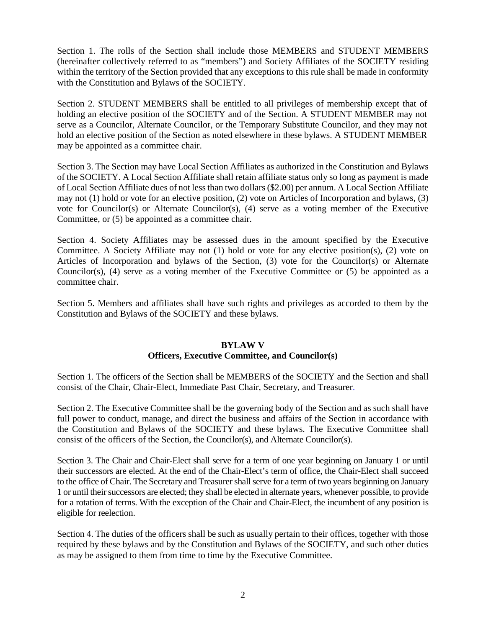Section 1. The rolls of the Section shall include those MEMBERS and STUDENT MEMBERS (hereinafter collectively referred to as "members") and Society Affiliates of the SOCIETY residing within the territory of the Section provided that any exceptions to this rule shall be made in conformity with the Constitution and Bylaws of the SOCIETY.

Section 2. STUDENT MEMBERS shall be entitled to all privileges of membership except that of holding an elective position of the SOCIETY and of the Section. A STUDENT MEMBER may not serve as a Councilor, Alternate Councilor, or the Temporary Substitute Councilor, and they may not hold an elective position of the Section as noted elsewhere in these bylaws. A STUDENT MEMBER may be appointed as a committee chair.

Section 3. The Section may have Local Section Affiliates as authorized in the Constitution and Bylaws of the SOCIETY. A Local Section Affiliate shall retain affiliate status only so long as payment is made of Local Section Affiliate dues of not less than two dollars (\$2.00) per annum. A Local Section Affiliate may not (1) hold or vote for an elective position, (2) vote on Articles of Incorporation and bylaws, (3) vote for Councilor(s) or Alternate Councilor(s), (4) serve as a voting member of the Executive Committee, or (5) be appointed as a committee chair.

Section 4. Society Affiliates may be assessed dues in the amount specified by the Executive Committee. A Society Affiliate may not (1) hold or vote for any elective position(s), (2) vote on Articles of Incorporation and bylaws of the Section, (3) vote for the Councilor(s) or Alternate Councilor(s), (4) serve as a voting member of the Executive Committee or (5) be appointed as a committee chair.

Section 5. Members and affiliates shall have such rights and privileges as accorded to them by the Constitution and Bylaws of the SOCIETY and these bylaws.

## **BYLAW V Officers, Executive Committee, and Councilor(s)**

Section 1. The officers of the Section shall be MEMBERS of the SOCIETY and the Section and shall consist of the Chair, Chair-Elect, Immediate Past Chair, Secretary, and Treasurer.

Section 2. The Executive Committee shall be the governing body of the Section and as such shall have full power to conduct, manage, and direct the business and affairs of the Section in accordance with the Constitution and Bylaws of the SOCIETY and these bylaws. The Executive Committee shall consist of the officers of the Section, the Councilor(s), and Alternate Councilor(s).

Section 3. The Chair and Chair-Elect shall serve for a term of one year beginning on January 1 or until their successors are elected. At the end of the Chair-Elect's term of office, the Chair-Elect shall succeed to the office of Chair. The Secretary and Treasurer shall serve for a term of two years beginning on January 1 or until their successors are elected; they shall be elected in alternate years, whenever possible, to provide for a rotation of terms. With the exception of the Chair and Chair-Elect, the incumbent of any position is eligible for reelection.

Section 4. The duties of the officers shall be such as usually pertain to their offices, together with those required by these bylaws and by the Constitution and Bylaws of the SOCIETY, and such other duties as may be assigned to them from time to time by the Executive Committee.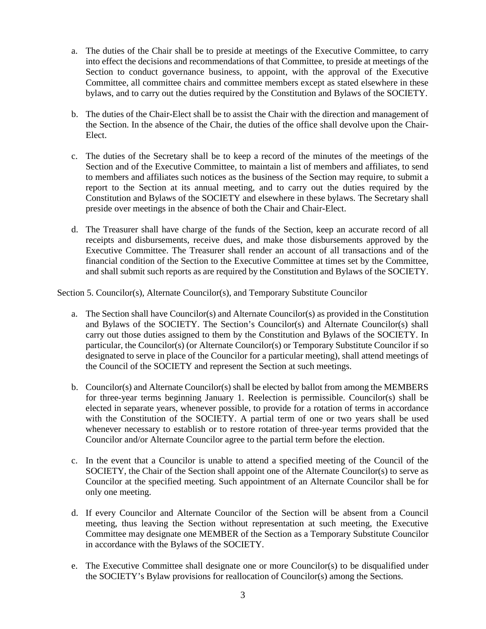- a. The duties of the Chair shall be to preside at meetings of the Executive Committee, to carry into effect the decisions and recommendations of that Committee, to preside at meetings of the Section to conduct governance business, to appoint, with the approval of the Executive Committee, all committee chairs and committee members except as stated elsewhere in these bylaws, and to carry out the duties required by the Constitution and Bylaws of the SOCIETY.
- b. The duties of the Chair-Elect shall be to assist the Chair with the direction and management of the Section. In the absence of the Chair, the duties of the office shall devolve upon the Chair-Elect.
- c. The duties of the Secretary shall be to keep a record of the minutes of the meetings of the Section and of the Executive Committee, to maintain a list of members and affiliates, to send to members and affiliates such notices as the business of the Section may require, to submit a report to the Section at its annual meeting, and to carry out the duties required by the Constitution and Bylaws of the SOCIETY and elsewhere in these bylaws. The Secretary shall preside over meetings in the absence of both the Chair and Chair-Elect.
- d. The Treasurer shall have charge of the funds of the Section, keep an accurate record of all receipts and disbursements, receive dues, and make those disbursements approved by the Executive Committee. The Treasurer shall render an account of all transactions and of the financial condition of the Section to the Executive Committee at times set by the Committee, and shall submit such reports as are required by the Constitution and Bylaws of the SOCIETY.

Section 5. Councilor(s), Alternate Councilor(s), and Temporary Substitute Councilor

- a. The Section shall have Councilor(s) and Alternate Councilor(s) as provided in the Constitution and Bylaws of the SOCIETY. The Section's Councilor(s) and Alternate Councilor(s) shall carry out those duties assigned to them by the Constitution and Bylaws of the SOCIETY. In particular, the Councilor(s) (or Alternate Councilor(s) or Temporary Substitute Councilor if so designated to serve in place of the Councilor for a particular meeting), shall attend meetings of the Council of the SOCIETY and represent the Section at such meetings.
- b. Councilor(s) and Alternate Councilor(s) shall be elected by ballot from among the MEMBERS for three-year terms beginning January 1. Reelection is permissible. Councilor(s) shall be elected in separate years, whenever possible, to provide for a rotation of terms in accordance with the Constitution of the SOCIETY. A partial term of one or two years shall be used whenever necessary to establish or to restore rotation of three-year terms provided that the Councilor and/or Alternate Councilor agree to the partial term before the election.
- c. In the event that a Councilor is unable to attend a specified meeting of the Council of the SOCIETY, the Chair of the Section shall appoint one of the Alternate Councilor(s) to serve as Councilor at the specified meeting. Such appointment of an Alternate Councilor shall be for only one meeting.
- d. If every Councilor and Alternate Councilor of the Section will be absent from a Council meeting, thus leaving the Section without representation at such meeting, the Executive Committee may designate one MEMBER of the Section as a Temporary Substitute Councilor in accordance with the Bylaws of the SOCIETY.
- e. The Executive Committee shall designate one or more Councilor(s) to be disqualified under the SOCIETY's Bylaw provisions for reallocation of Councilor(s) among the Sections.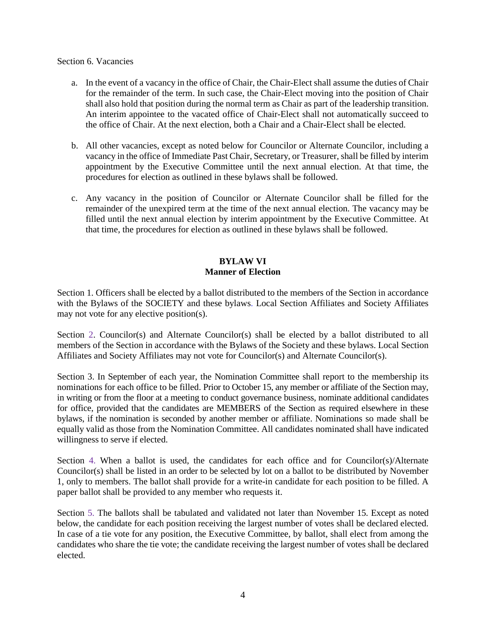### Section 6. Vacancies

- a. In the event of a vacancy in the office of Chair, the Chair-Elect shall assume the duties of Chair for the remainder of the term. In such case, the Chair-Elect moving into the position of Chair shall also hold that position during the normal term as Chair as part of the leadership transition. An interim appointee to the vacated office of Chair-Elect shall not automatically succeed to the office of Chair. At the next election, both a Chair and a Chair-Elect shall be elected.
- b. All other vacancies, except as noted below for Councilor or Alternate Councilor, including a vacancy in the office of Immediate Past Chair, Secretary, or Treasurer, shall be filled by interim appointment by the Executive Committee until the next annual election. At that time, the procedures for election as outlined in these bylaws shall be followed.
- c. Any vacancy in the position of Councilor or Alternate Councilor shall be filled for the remainder of the unexpired term at the time of the next annual election. The vacancy may be filled until the next annual election by interim appointment by the Executive Committee. At that time, the procedures for election as outlined in these bylaws shall be followed.

# **BYLAW VI Manner of Election**

Section 1. Officers shall be elected by a ballot distributed to the members of the Section in accordance with the Bylaws of the SOCIETY and these bylaws. Local Section Affiliates and Society Affiliates may not vote for any elective position(s).

Section 2. Councilor(s) and Alternate Councilor(s) shall be elected by a ballot distributed to all members of the Section in accordance with the Bylaws of the Society and these bylaws. Local Section Affiliates and Society Affiliates may not vote for Councilor(s) and Alternate Councilor(s).

Section 3. In September of each year, the Nomination Committee shall report to the membership its nominations for each office to be filled. Prior to October 15, any member or affiliate of the Section may, in writing or from the floor at a meeting to conduct governance business, nominate additional candidates for office, provided that the candidates are MEMBERS of the Section as required elsewhere in these bylaws, if the nomination is seconded by another member or affiliate. Nominations so made shall be equally valid as those from the Nomination Committee. All candidates nominated shall have indicated willingness to serve if elected.

Section 4. When a ballot is used, the candidates for each office and for Councilor(s)/Alternate Councilor(s) shall be listed in an order to be selected by lot on a ballot to be distributed by November 1, only to members. The ballot shall provide for a write-in candidate for each position to be filled. A paper ballot shall be provided to any member who requests it.

Section 5. The ballots shall be tabulated and validated not later than November 15. Except as noted below, the candidate for each position receiving the largest number of votes shall be declared elected. In case of a tie vote for any position, the Executive Committee, by ballot, shall elect from among the candidates who share the tie vote; the candidate receiving the largest number of votes shall be declared elected.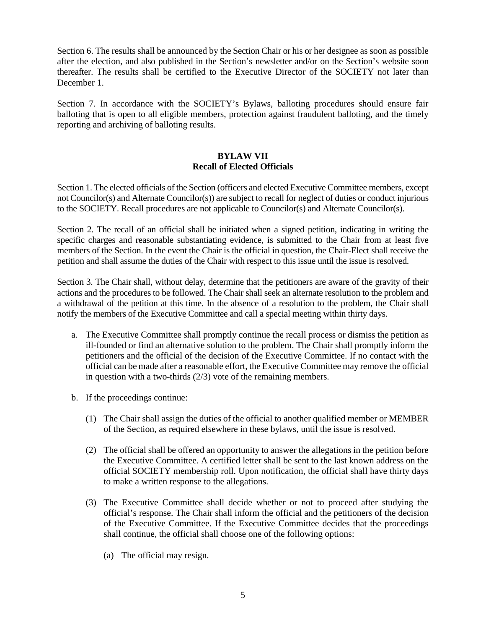Section 6. The results shall be announced by the Section Chair or his or her designee as soon as possible after the election, and also published in the Section's newsletter and/or on the Section's website soon thereafter. The results shall be certified to the Executive Director of the SOCIETY not later than December 1.

Section 7. In accordance with the SOCIETY's Bylaws, balloting procedures should ensure fair balloting that is open to all eligible members, protection against fraudulent balloting, and the timely reporting and archiving of balloting results.

# **BYLAW VII Recall of Elected Officials**

Section 1. The elected officials of the Section (officers and elected Executive Committee members, except not Councilor(s) and Alternate Councilor(s)) are subject to recall for neglect of duties or conduct injurious to the SOCIETY. Recall procedures are not applicable to Councilor(s) and Alternate Councilor(s).

Section 2. The recall of an official shall be initiated when a signed petition, indicating in writing the specific charges and reasonable substantiating evidence, is submitted to the Chair from at least five members of the Section. In the event the Chair is the official in question, the Chair-Elect shall receive the petition and shall assume the duties of the Chair with respect to this issue until the issue is resolved.

Section 3. The Chair shall, without delay, determine that the petitioners are aware of the gravity of their actions and the procedures to be followed. The Chair shall seek an alternate resolution to the problem and a withdrawal of the petition at this time. In the absence of a resolution to the problem, the Chair shall notify the members of the Executive Committee and call a special meeting within thirty days.

- a. The Executive Committee shall promptly continue the recall process or dismiss the petition as ill-founded or find an alternative solution to the problem. The Chair shall promptly inform the petitioners and the official of the decision of the Executive Committee. If no contact with the official can be made after a reasonable effort, the Executive Committee may remove the official in question with a two-thirds (2/3) vote of the remaining members.
- b. If the proceedings continue:
	- (1) The Chair shall assign the duties of the official to another qualified member or MEMBER of the Section, as required elsewhere in these bylaws, until the issue is resolved.
	- (2) The official shall be offered an opportunity to answer the allegations in the petition before the Executive Committee. A certified letter shall be sent to the last known address on the official SOCIETY membership roll. Upon notification, the official shall have thirty days to make a written response to the allegations.
	- (3) The Executive Committee shall decide whether or not to proceed after studying the official's response. The Chair shall inform the official and the petitioners of the decision of the Executive Committee. If the Executive Committee decides that the proceedings shall continue, the official shall choose one of the following options:
		- (a) The official may resign.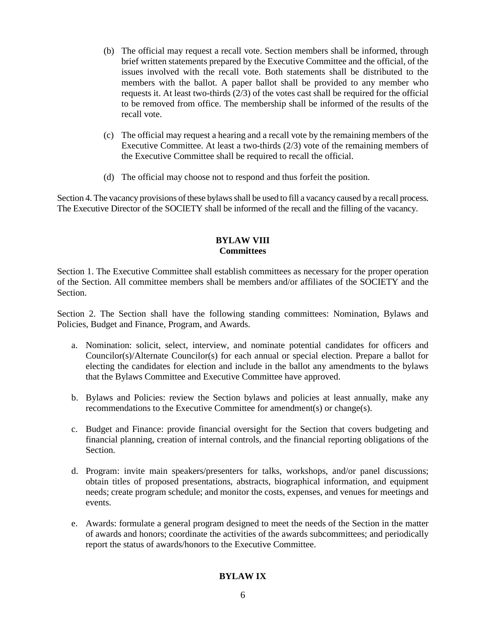- (b) The official may request a recall vote. Section members shall be informed, through brief written statements prepared by the Executive Committee and the official, of the issues involved with the recall vote. Both statements shall be distributed to the members with the ballot. A paper ballot shall be provided to any member who requests it. At least two-thirds (2/3) of the votes cast shall be required for the official to be removed from office. The membership shall be informed of the results of the recall vote.
- (c) The official may request a hearing and a recall vote by the remaining members of the Executive Committee. At least a two-thirds (2/3) vote of the remaining members of the Executive Committee shall be required to recall the official.
- (d) The official may choose not to respond and thus forfeit the position.

Section 4. The vacancy provisions of these bylaws shall be used to fill a vacancy caused by a recall process. The Executive Director of the SOCIETY shall be informed of the recall and the filling of the vacancy.

### **BYLAW VIII Committees**

Section 1. The Executive Committee shall establish committees as necessary for the proper operation of the Section. All committee members shall be members and/or affiliates of the SOCIETY and the Section.

Section 2. The Section shall have the following standing committees: Nomination, Bylaws and Policies, Budget and Finance, Program, and Awards.

- a. Nomination: solicit, select, interview, and nominate potential candidates for officers and Councilor(s)/Alternate Councilor(s) for each annual or special election. Prepare a ballot for electing the candidates for election and include in the ballot any amendments to the bylaws that the Bylaws Committee and Executive Committee have approved.
- b. Bylaws and Policies: review the Section bylaws and policies at least annually, make any recommendations to the Executive Committee for amendment(s) or change(s).
- c. Budget and Finance: provide financial oversight for the Section that covers budgeting and financial planning, creation of internal controls, and the financial reporting obligations of the Section.
- d. Program: invite main speakers/presenters for talks, workshops, and/or panel discussions; obtain titles of proposed presentations, abstracts, biographical information, and equipment needs; create program schedule; and monitor the costs, expenses, and venues for meetings and events.
- e. Awards: formulate a general program designed to meet the needs of the Section in the matter of awards and honors; coordinate the activities of the awards subcommittees; and periodically report the status of awards/honors to the Executive Committee.

# **BYLAW IX**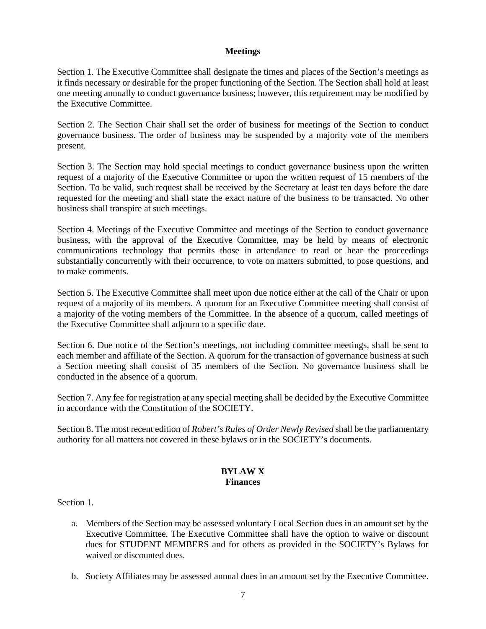### **Meetings**

Section 1. The Executive Committee shall designate the times and places of the Section's meetings as it finds necessary or desirable for the proper functioning of the Section. The Section shall hold at least one meeting annually to conduct governance business; however, this requirement may be modified by the Executive Committee.

Section 2. The Section Chair shall set the order of business for meetings of the Section to conduct governance business. The order of business may be suspended by a majority vote of the members present.

Section 3. The Section may hold special meetings to conduct governance business upon the written request of a majority of the Executive Committee or upon the written request of 15 members of the Section. To be valid, such request shall be received by the Secretary at least ten days before the date requested for the meeting and shall state the exact nature of the business to be transacted. No other business shall transpire at such meetings.

Section 4. Meetings of the Executive Committee and meetings of the Section to conduct governance business, with the approval of the Executive Committee, may be held by means of electronic communications technology that permits those in attendance to read or hear the proceedings substantially concurrently with their occurrence, to vote on matters submitted, to pose questions, and to make comments.

Section 5. The Executive Committee shall meet upon due notice either at the call of the Chair or upon request of a majority of its members. A quorum for an Executive Committee meeting shall consist of a majority of the voting members of the Committee. In the absence of a quorum, called meetings of the Executive Committee shall adjourn to a specific date.

Section 6. Due notice of the Section's meetings, not including committee meetings, shall be sent to each member and affiliate of the Section. A quorum for the transaction of governance business at such a Section meeting shall consist of 35 members of the Section. No governance business shall be conducted in the absence of a quorum.

Section 7. Any fee for registration at any special meeting shall be decided by the Executive Committee in accordance with the Constitution of the SOCIETY.

Section 8. The most recent edition of *Robert's Rules of Order Newly Revised* shall be the parliamentary authority for all matters not covered in these bylaws or in the SOCIETY's documents.

### **BYLAW X Finances**

Section 1.

- a. Members of the Section may be assessed voluntary Local Section dues in an amount set by the Executive Committee. The Executive Committee shall have the option to waive or discount dues for STUDENT MEMBERS and for others as provided in the SOCIETY's Bylaws for waived or discounted dues.
- b. Society Affiliates may be assessed annual dues in an amount set by the Executive Committee.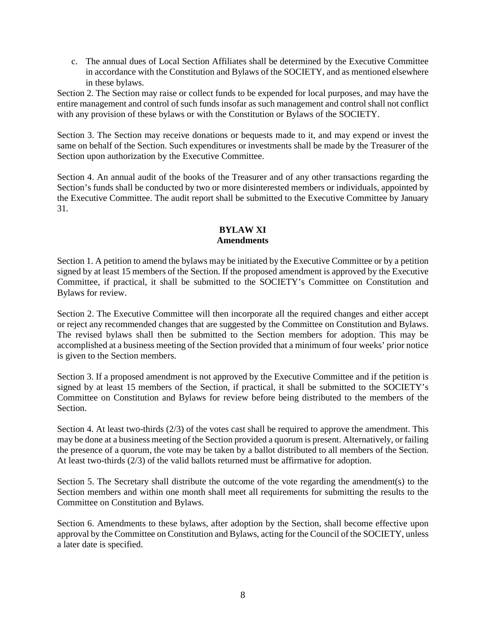c. The annual dues of Local Section Affiliates shall be determined by the Executive Committee in accordance with the Constitution and Bylaws of the SOCIETY, and as mentioned elsewhere in these bylaws.

Section 2. The Section may raise or collect funds to be expended for local purposes, and may have the entire management and control of such funds insofar as such management and control shall not conflict with any provision of these bylaws or with the Constitution or Bylaws of the SOCIETY.

Section 3. The Section may receive donations or bequests made to it, and may expend or invest the same on behalf of the Section. Such expenditures or investments shall be made by the Treasurer of the Section upon authorization by the Executive Committee.

Section 4. An annual audit of the books of the Treasurer and of any other transactions regarding the Section's funds shall be conducted by two or more disinterested members or individuals, appointed by the Executive Committee. The audit report shall be submitted to the Executive Committee by January 31.

## **BYLAW XI Amendments**

Section 1. A petition to amend the bylaws may be initiated by the Executive Committee or by a petition signed by at least 15 members of the Section. If the proposed amendment is approved by the Executive Committee, if practical, it shall be submitted to the SOCIETY's Committee on Constitution and Bylaws for review.

Section 2. The Executive Committee will then incorporate all the required changes and either accept or reject any recommended changes that are suggested by the Committee on Constitution and Bylaws. The revised bylaws shall then be submitted to the Section members for adoption. This may be accomplished at a business meeting of the Section provided that a minimum of four weeks' prior notice is given to the Section members.

Section 3. If a proposed amendment is not approved by the Executive Committee and if the petition is signed by at least 15 members of the Section, if practical, it shall be submitted to the SOCIETY's Committee on Constitution and Bylaws for review before being distributed to the members of the Section.

Section 4. At least two-thirds (2/3) of the votes cast shall be required to approve the amendment. This may be done at a business meeting of the Section provided a quorum is present. Alternatively, or failing the presence of a quorum, the vote may be taken by a ballot distributed to all members of the Section. At least two-thirds (2/3) of the valid ballots returned must be affirmative for adoption.

Section 5. The Secretary shall distribute the outcome of the vote regarding the amendment(s) to the Section members and within one month shall meet all requirements for submitting the results to the Committee on Constitution and Bylaws.

Section 6. Amendments to these bylaws, after adoption by the Section, shall become effective upon approval by the Committee on Constitution and Bylaws, acting for the Council of the SOCIETY, unless a later date is specified.